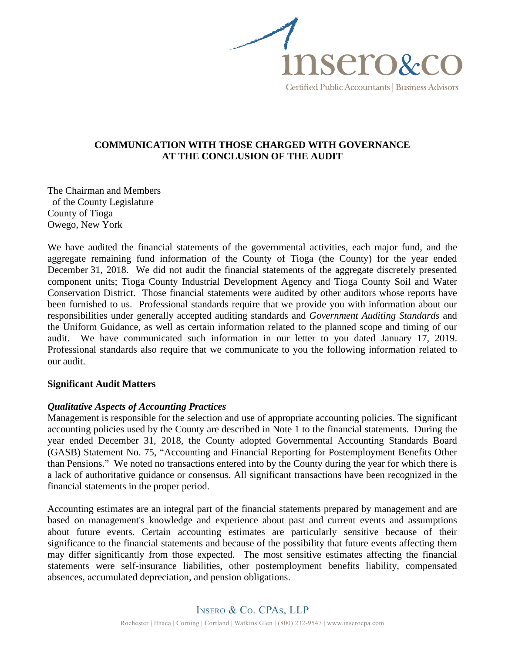

# **COMMUNICATION WITH THOSE CHARGED WITH GOVERNANCE AT THE CONCLUSION OF THE AUDIT**

The Chairman and Members of the County Legislature County of Tioga Owego, New York

We have audited the financial statements of the governmental activities, each major fund, and the aggregate remaining fund information of the County of Tioga (the County) for the year ended December 31, 2018. We did not audit the financial statements of the aggregate discretely presented component units; Tioga County Industrial Development Agency and Tioga County Soil and Water Conservation District. Those financial statements were audited by other auditors whose reports have been furnished to us. Professional standards require that we provide you with information about our responsibilities under generally accepted auditing standards and *Government Auditing Standards* and the Uniform Guidance, as well as certain information related to the planned scope and timing of our audit. We have communicated such information in our letter to you dated January 17, 2019. Professional standards also require that we communicate to you the following information related to our audit.

## **Significant Audit Matters**

## *Qualitative Aspects of Accounting Practices*

Management is responsible for the selection and use of appropriate accounting policies. The significant accounting policies used by the County are described in Note 1 to the financial statements. During the year ended December 31, 2018, the County adopted Governmental Accounting Standards Board (GASB) Statement No. 75, "Accounting and Financial Reporting for Postemployment Benefits Other than Pensions." We noted no transactions entered into by the County during the year for which there is a lack of authoritative guidance or consensus. All significant transactions have been recognized in the financial statements in the proper period.

Accounting estimates are an integral part of the financial statements prepared by management and are based on management's knowledge and experience about past and current events and assumptions about future events. Certain accounting estimates are particularly sensitive because of their significance to the financial statements and because of the possibility that future events affecting them may differ significantly from those expected. The most sensitive estimates affecting the financial statements were self-insurance liabilities, other postemployment benefits liability, compensated absences, accumulated depreciation, and pension obligations.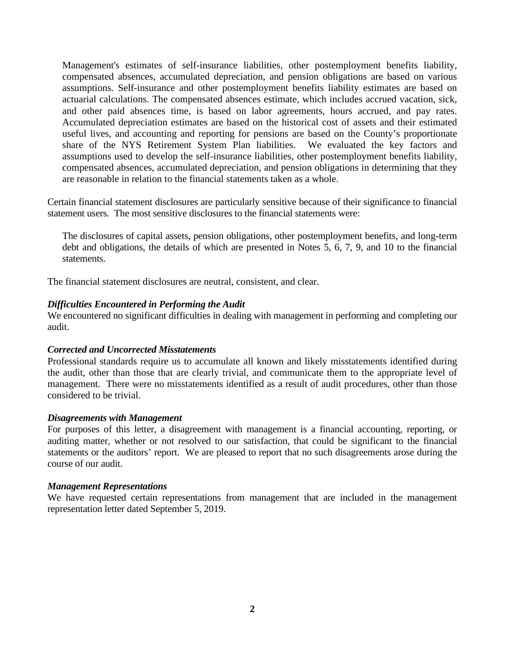Management's estimates of self-insurance liabilities, other postemployment benefits liability, compensated absences, accumulated depreciation, and pension obligations are based on various assumptions. Self-insurance and other postemployment benefits liability estimates are based on actuarial calculations. The compensated absences estimate, which includes accrued vacation, sick, and other paid absences time, is based on labor agreements, hours accrued, and pay rates. Accumulated depreciation estimates are based on the historical cost of assets and their estimated useful lives, and accounting and reporting for pensions are based on the County's proportionate share of the NYS Retirement System Plan liabilities. We evaluated the key factors and assumptions used to develop the self-insurance liabilities, other postemployment benefits liability, compensated absences, accumulated depreciation, and pension obligations in determining that they are reasonable in relation to the financial statements taken as a whole.

Certain financial statement disclosures are particularly sensitive because of their significance to financial statement users. The most sensitive disclosures to the financial statements were:

The disclosures of capital assets, pension obligations, other postemployment benefits, and long-term debt and obligations, the details of which are presented in Notes 5, 6, 7, 9, and 10 to the financial statements.

The financial statement disclosures are neutral, consistent, and clear.

## *Difficulties Encountered in Performing the Audit*

We encountered no significant difficulties in dealing with management in performing and completing our audit.

#### *Corrected and Uncorrected Misstatements*

Professional standards require us to accumulate all known and likely misstatements identified during the audit, other than those that are clearly trivial, and communicate them to the appropriate level of management. There were no misstatements identified as a result of audit procedures, other than those considered to be trivial.

#### *Disagreements with Management*

For purposes of this letter, a disagreement with management is a financial accounting, reporting, or auditing matter, whether or not resolved to our satisfaction, that could be significant to the financial statements or the auditors' report. We are pleased to report that no such disagreements arose during the course of our audit.

#### *Management Representations*

We have requested certain representations from management that are included in the management representation letter dated September 5, 2019.